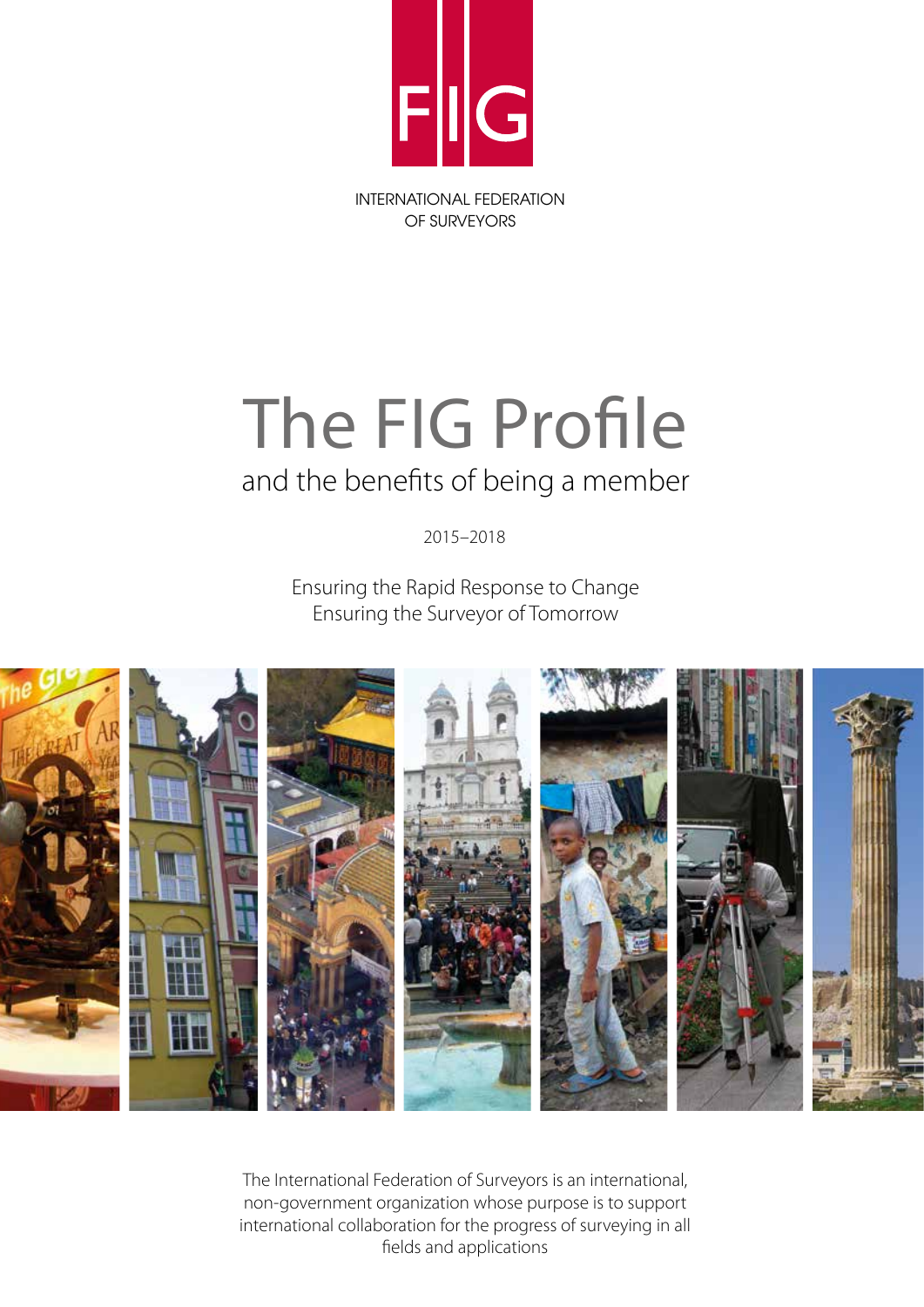

# The FIG Profile

## and the benefits of being a member

2015–2018

Ensuring the Rapid Response to Change Ensuring the Surveyor of Tomorrow



The International Federation of Surveyors is an international, non-government organization whose purpose is to support international collaboration for the progress of surveying in all fields and applications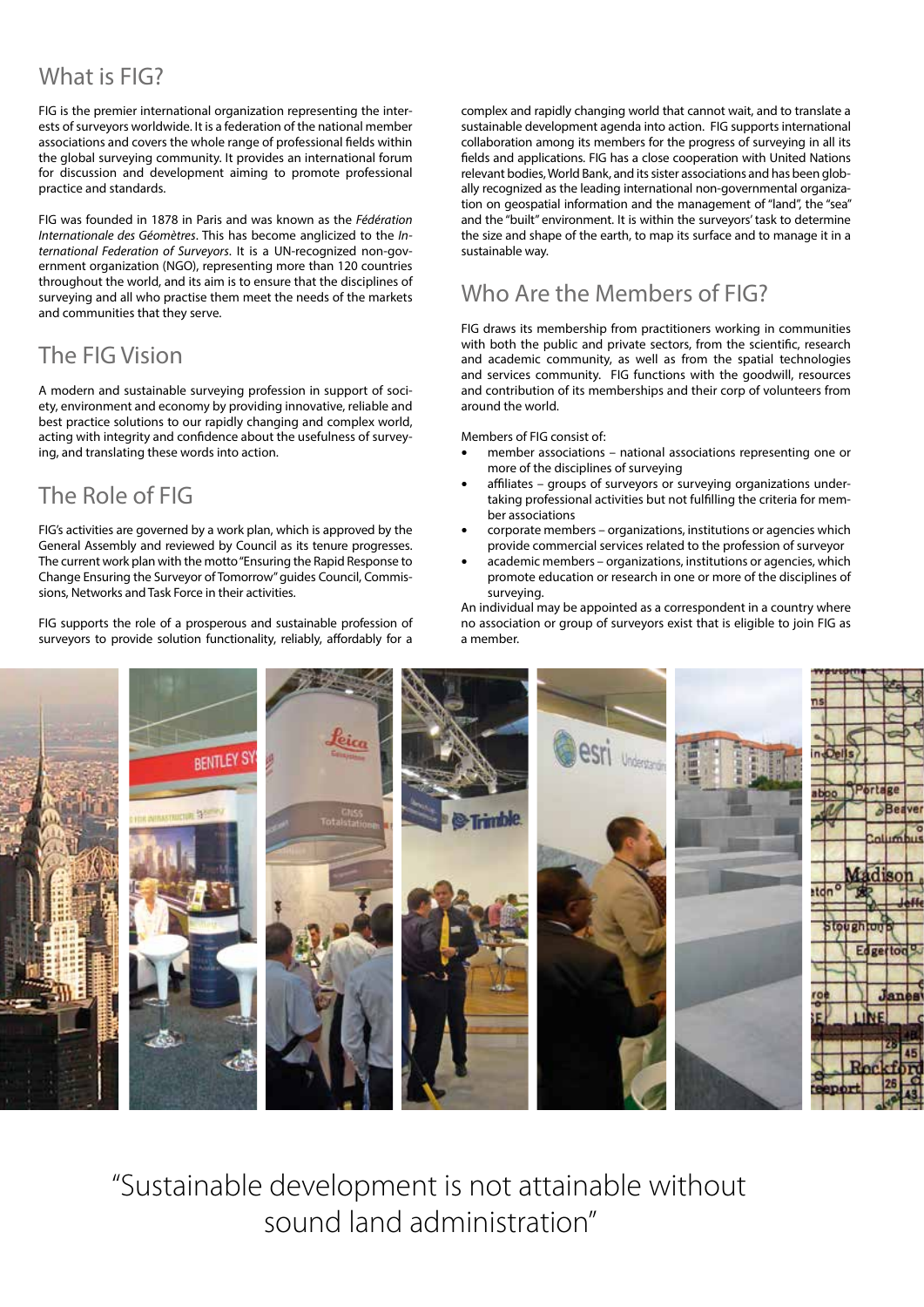## What is FIG? Commission Activity Activity Activity Activity Activity Activity Activity Activity Activity Activity Activity Activity Activity Activity Activity Activity Activity Activity Activity Activity Activity Activity

FIG is the premier international organization representing the interests of surveyors worldwide. It is a federation of the national member associations and covers the whole range of professional fields within the global surveying community. It provides an international forum for discussion and development aiming to promote professional practice and standards.

FIG was founded in 1878 in Paris and was known as the *Fédération Internationale des Géomètres*. This has become anglicized to the *International Federation of Surveyors*. It is a UN-recognized non-government organization (NGO), representing more than 120 countries throughout the world, and its aim is to ensure that the disciplines of surveying and all who practise them meet the needs of the markets and communities that they serve.

## The FIG Vision

A modern and sustainable surveying profession in support of society, environment and economy by providing innovative, reliable and best practice solutions to our rapidly changing and complex world, acting with integrity and confidence about the usefulness of surveying, and translating these words into action.

## The Role of FIG

FIG's activities are governed by a work plan, which is approved by the General Assembly and reviewed by Council as its tenure progresses. The current work plan with the motto "Ensuring the Rapid Response to Change Ensuring the Surveyor of Tomorrow" guides Council, Commissions, Networks and Task Force in their activities.

FIG supports the role of a prosperous and sustainable profession of surveyors to provide solution functionality, reliably, affordably for a

complex and rapidly changing world that cannot wait, and to translate a sustainable development agenda into action. FIG supports international collaboration among its members for the progress of surveying in all its fields and applications. FIG has a close cooperation with United Nations relevant bodies, World Bank, and its sister associations and has been globally recognized as the leading international non-governmental organization on geospatial information and the management of "land", the "sea" and the "built" environment. It is within the surveyors' task to determine the size and shape of the earth, to map its surface and to manage it in a sustainable way.

## Who Are the Members of FIG?

FIG draws its membership from practitioners working in communities with both the public and private sectors, from the scientific, research and academic community, as well as from the spatial technologies and services community. FIG functions with the goodwill, resources and contribution of its memberships and their corp of volunteers from around the world.

Members of FIG consist of:

- member associations national associations representing one or more of the disciplines of surveying
- affiliates groups of surveyors or surveying organizations undertaking professional activities but not fulfilling the criteria for member associations
- corporate members organizations, institutions or agencies which provide commercial services related to the profession of surveyor
- academic members organizations, institutions or agencies, which promote education or research in one or more of the disciplines of surveying.

An individual may be appointed as a correspondent in a country where no association or group of surveyors exist that is eligible to join FIG as a member.



"Sustainable development is not attainable without sound land administration" "A manuscripture than 100 words"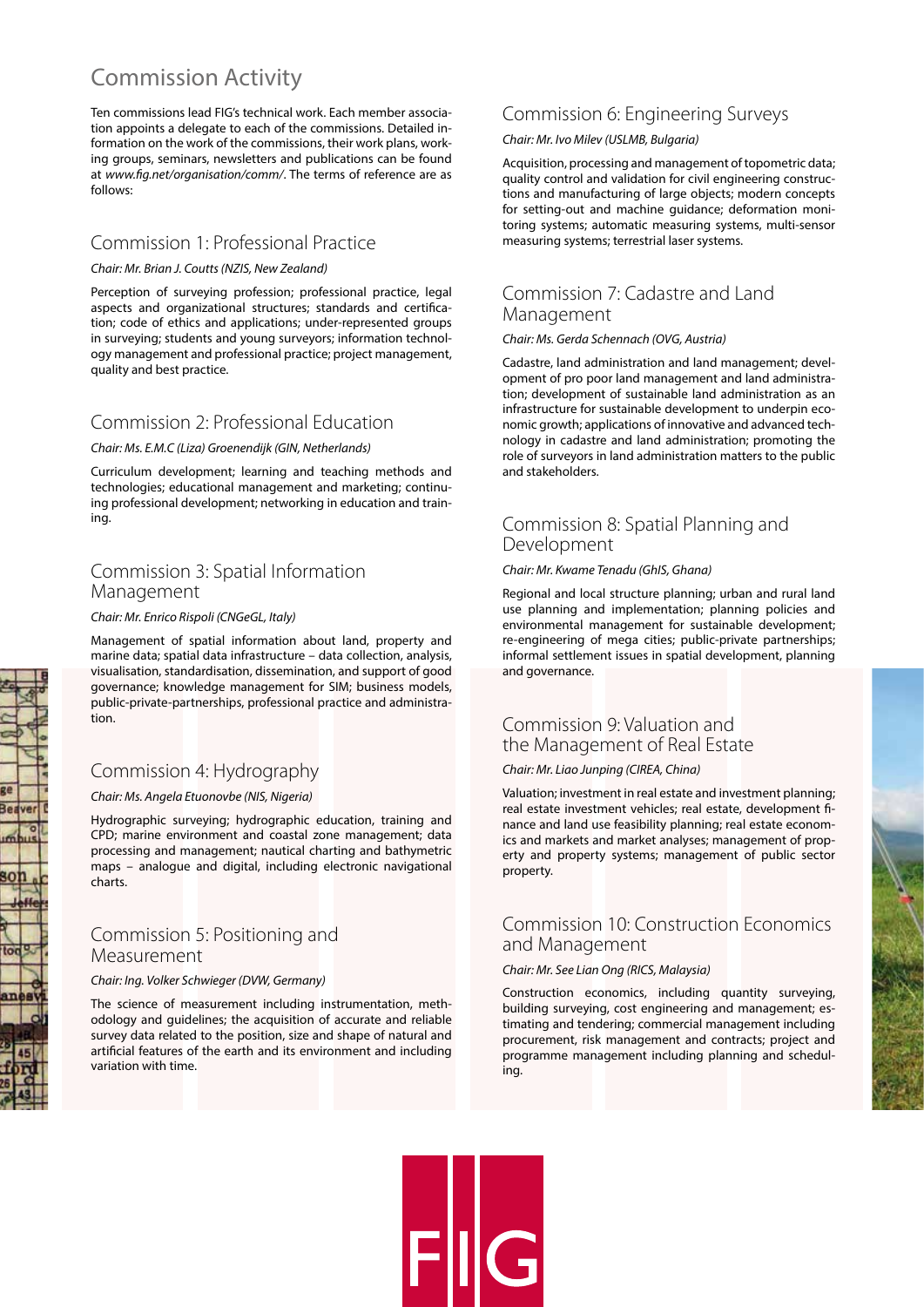## **Commission Activity**

Ten commissions lead FIG's technical work. Each member association appoints a delegate to each of the commissions. Detailed information on the work of the commissions, their work plans, working groups, seminars, newsletters and publications can be found at *www.fig.net/organisation/comm/*. The terms of reference are as follows:

#### Commission 1: Professional Practice

#### *Chair: Mr. Brian J. Coutts (NZIS, New Zealand)*

Perception of surveying profession; professional practice, legal aspects and organizational structures; standards and certification; code of ethics and applications; under-represented groups in surveying; students and young surveyors; information technology management and professional practice; project management, quality and best practice.

#### Commission 2: Professional Education

#### *Chair: Ms. E.M.C (Liza) Groenendijk (GIN, Netherlands)*

Curriculum development; learning and teaching methods and technologies; educational management and marketing; continuing professional development; networking in education and training.

#### Commission 3: Spatial Information Management

#### *Chair: Mr. Enrico Rispoli (CNGeGL, Italy)*

Management of spatial information about land, property and marine data; spatial data infrastructure – data collection, analysis, visualisation, standardisation, dissemination, and support of good governance; knowledge management for SIM; business models, public-private-partnerships, professional practice and administration.

#### Commission 4: Hydrography

#### *Chair: Ms. Angela Etuonovbe (NIS, Nigeria)*

Hydrographic surveying; hydrographic education, training and CPD; marine environment and coastal zone management; data processing and management; nautical charting and bathymetric maps – analogue and digital, including electronic navigational charts.

#### Commission 5: Positioning and Measurement

#### *Chair: Ing. Volker Schwieger (DVW, Germany)*

The science of measurement including instrumentation, methodology and guidelines; the acquisition of accurate and reliable survey data related to the position, size and shape of natural and artificial features of the earth and its environment and including variation with time.

#### Commission 6: Engineering Surveys

#### *Chair: Mr. Ivo Milev (USLMB, Bulgaria)*

Acquisition, processing and management of topometric data; quality control and validation for civil engineering constructions and manufacturing of large objects; modern concepts for setting-out and machine guidance; deformation monitoring systems; automatic measuring systems, multi-sensor measuring systems; terrestrial laser systems.

#### Commission 7: Cadastre and Land Management

#### *Chair: Ms. Gerda Schennach (OVG, Austria)*

Cadastre, land administration and land management; development of pro poor land management and land administration; development of sustainable land administration as an infrastructure for sustainable development to underpin economic growth; applications of innovative and advanced technology in cadastre and land administration; promoting the role of surveyors in land administration matters to the public and stakeholders.

#### Commission 8: Spatial Planning and Development

#### *Chair: Mr. Kwame Tenadu (GhIS, Ghana)*

Regional and local structure planning; urban and rural land use planning and implementation; planning policies and environmental management for sustainable development; re-engineering of mega cities; public-private partnerships; informal settlement issues in spatial development, planning and governance.

#### Commission 9: Valuation and the Management of Real Estate

#### *Chair: Mr. Liao Junping (CIREA, China)*

Valuation; investment in real estate and investment planning; real estate investment vehicles; real estate, development finance and land use feasibility planning; real estate economics and markets and market analyses; management of property and property systems; management of public sector property.

#### Commission 10: Construction Economics and Management

#### *Chair: Mr. See Lian Ong (RICS, Malaysia)*

Construction economics, including quantity surveying, building surveying, cost engineering and management; estimating and tendering; commercial management including procurement, risk management and contracts; project and programme management including planning and scheduling.



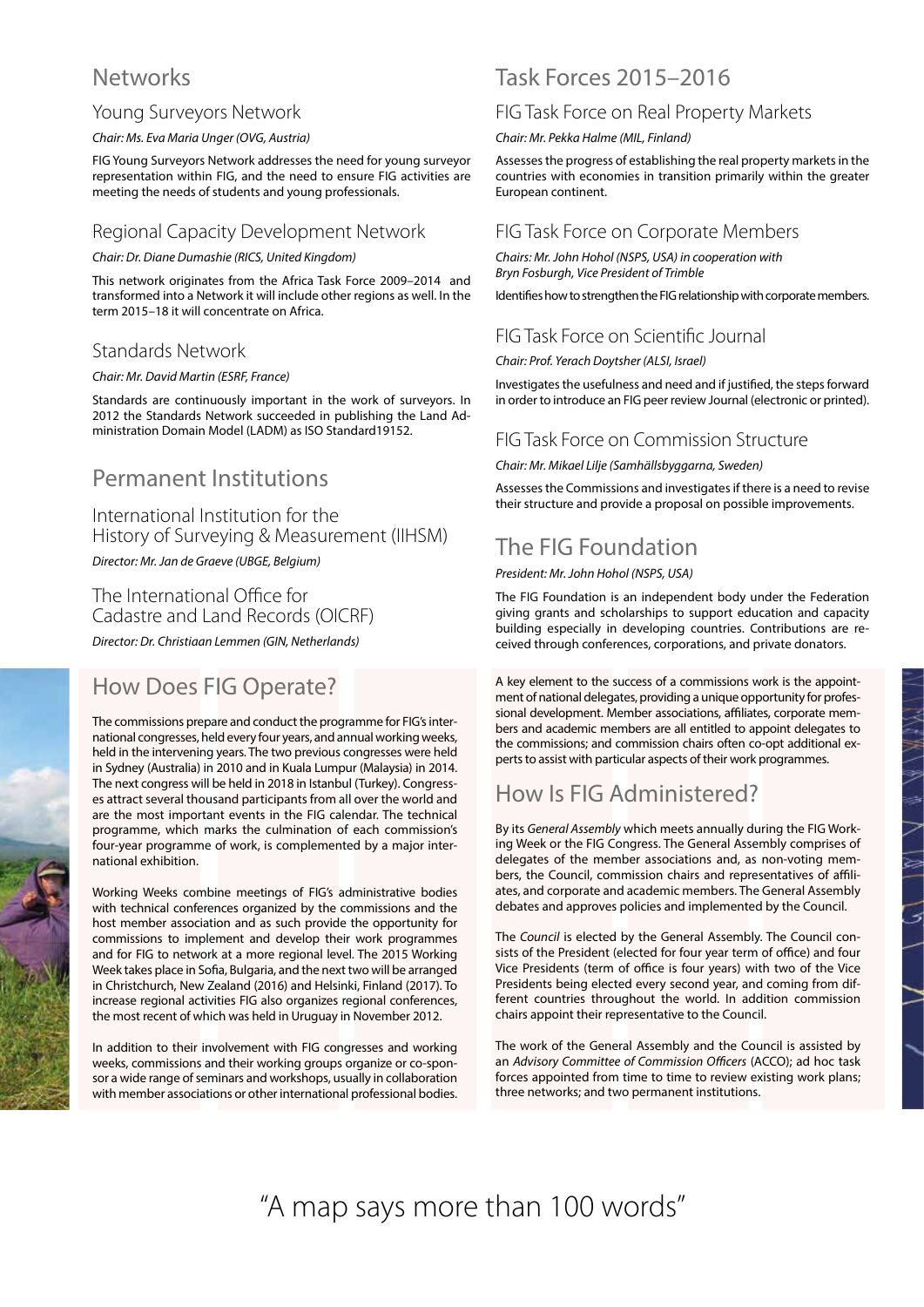## **Networks**

#### Young Surveyors Network

#### *Chair: Ms. Eva Maria Unger (OVG, Austria)*

FIG Young Surveyors Network addresses the need for young surveyor representation within FIG, and the need to ensure FIG activities are meeting the needs of students and young professionals.

#### Regional Capacity Development Network

#### *Chair: Dr. Diane Dumashie (RICS, United Kingdom)*

This network originates from the Africa Task Force 2009–2014 and transformed into a Network it will include other regions as well. In the term 2015–18 it will concentrate on Africa.

#### Standards Network

#### *Chair: Mr. David Martin (ESRF, France)*

Standards are continuously important in the work of surveyors. In 2012 the Standards Network succeeded in publishing the Land Administration Domain Model (LADM) as ISO Standard19152.

## Permanent Institutions

### International Institution for the History of Surveying & Measurement (IIHSM)

*Director: Mr. Jan de Graeve (UBGE, Belgium)*

The International Office for Cadastre and Land Records (OICRF)

*Director: Dr. Christiaan Lemmen (GIN, Netherlands)*

## How Does FIG Operate?

The commissions prepare and conduct the programme for FIG's international congresses, held every four years, and annual working weeks, held in the intervening years. The two previous congresses were held in Sydney (Australia) in 2010 and in Kuala Lumpur (Malaysia) in 2014. The next congress will be held in 2018 in Istanbul (Turkey). Congresses attract several thousand participants from all over the world and are the most important events in the FIG calendar. The technical programme, which marks the culmination of each commission's four-year programme of work, is complemented by a major international exhibition.

Working Weeks combine meetings of FIG's administrative bodies with technical conferences organized by the commissions and the host member association and as such provide the opportunity for commissions to implement and develop their work programmes and for FIG to network at a more regional level. The 2015 Working Week takes place in Sofia, Bulgaria, and the next two will be arranged in Christchurch, New Zealand (2016) and Helsinki, Finland (2017). To increase regional activities FIG also organizes regional conferences, the most recent of which was held in Uruguay in November 2012.

In addition to their involvement with FIG congresses and working weeks, commissions and their working groups organize or co-sponsor a wide range of seminars and workshops, usually in collaboration with member associations or other international professional bodies.

## Task Forces 2015–2016

#### FIG Task Force on Real Property Markets

*Chair: Mr. Pekka Halme (MIL, Finland)*

Assesses the progress of establishing the real property markets in the countries with economies in transition primarily within the greater European continent.

#### FIG Task Force on Corporate Members

*Chairs: Mr. John Hohol (NSPS, USA) in cooperation with Bryn Fosburgh, Vice President of Trimble*

Identifies how to strengthen the FIG relationship with corporate members.

#### FIG Task Force on Scientific Journal

*Chair: Prof. Yerach Doytsher (ALSI, Israel)*

Investigates the usefulness and need and if justified, the steps forward in order to introduce an FIG peer review Journal (electronic or printed).

#### FIG Task Force on Commission Structure

*Chair: Mr. Mikael Lilje (Samhällsbyggarna, Sweden)*

Assesses the Commissions and investigates if there is a need to revise their structure and provide a proposal on possible improvements.

## The FIG Foundation

*President: Mr. John Hohol (NSPS, USA)*

The FIG Foundation is an independent body under the Federation giving grants and scholarships to support education and capacity building especially in developing countries. Contributions are received through conferences, corporations, and private donators.

A key element to the success of a commissions work is the appointment of national delegates, providing a unique opportunity for professional development. Member associations, affiliates, corporate members and academic members are all entitled to appoint delegates to the commissions; and commission chairs often co-opt additional experts to assist with particular aspects of their work programmes.

## How Is FIG Administered?

By its *General Assembly* which meets annually during the FIG Working Week or the FIG Congress. The General Assembly comprises of delegates of the member associations and, as non-voting members, the Council, commission chairs and representatives of affiliates, and corporate and academic members. The General Assembly debates and approves policies and implemented by the Council.

スキスク ネーマニュー フィー・ファイル

The *Council* is elected by the General Assembly. The Council consists of the President (elected for four year term of office) and four Vice Presidents (term of office is four years) with two of the Vice Presidents being elected every second year, and coming from different countries throughout the world. In addition commission chairs appoint their representative to the Council.

The work of the General Assembly and the Council is assisted by an *Advisory Committee of Commission Officers* (ACCO); ad hoc task forces appointed from time to time to review existing work plans; three networks; and two permanent institutions.

"A map says more than 100 words"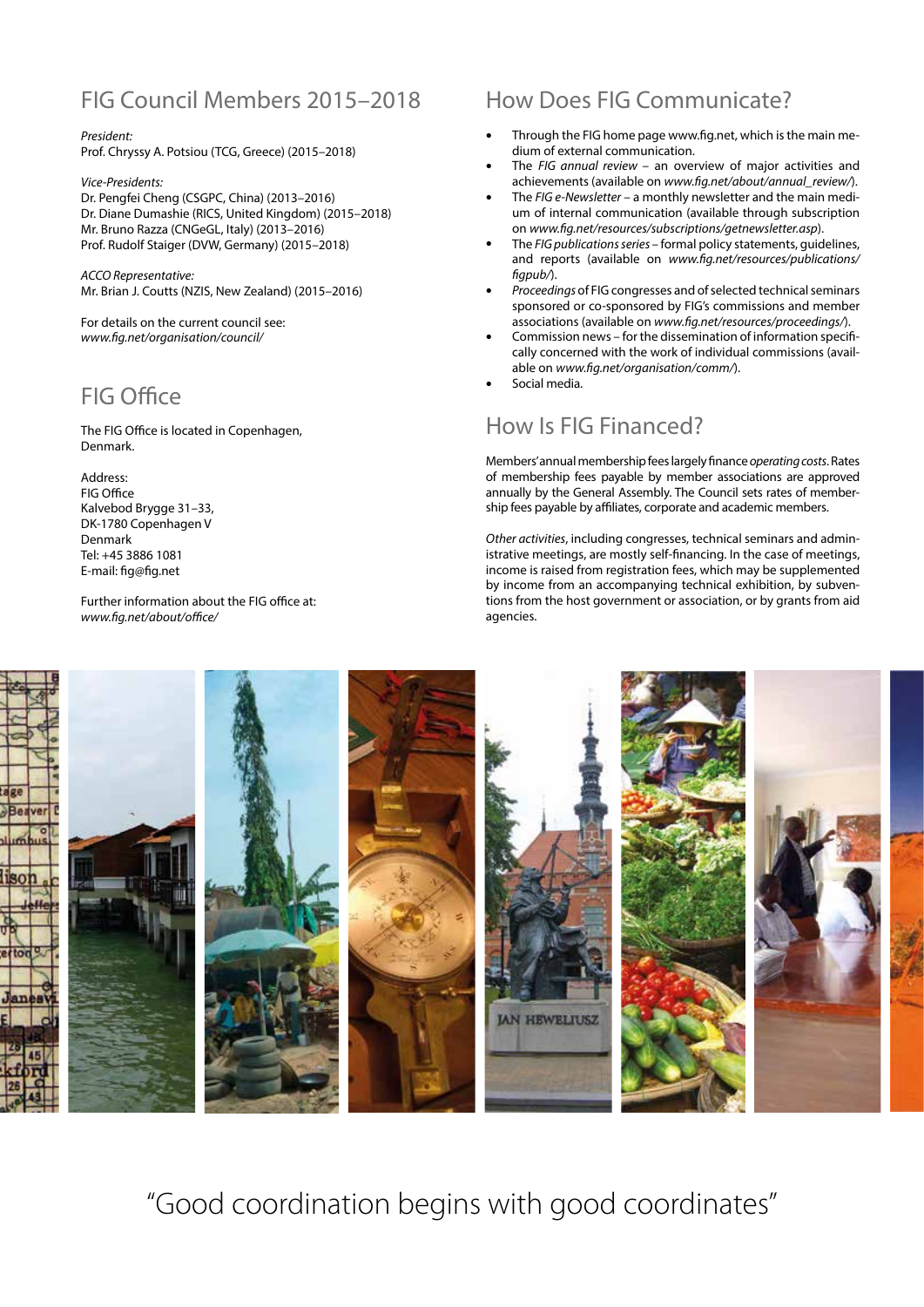## FIG Council Members 2015–2018

## *President:*

Prof. Chryssy A. Potsiou (TCG, Greece) (2015–2018)

*Vice-Presidents:*

Dr. Pengfei Cheng (CSGPC, China) (2013–2016) Dr. Diane Dumashie (RICS, United Kingdom) (2015–2018) Mr. Bruno Razza (CNGeGL, Italy) (2013–2016) Prof. Rudolf Staiger (DVW, Germany) (2015–2018)

*ACCO Representative:*  Mr. Brian J. Coutts (NZIS, New Zealand) (2015–2016)

For details on the current council see: *www.fig.net/organisation/council/*

## FIG Office

The FIG Office is located in Copenhagen, Denmark.

Address: FIG Office Kalvebod Brygge 31–33, DK-1780 Copenhagen V Denmark Tel: +45 3886 1081 E-mail: fig@fig.net

Further information about the FIG office at: *www.fig.net/about/office/*

## How Does FIG Communicate?

- Through the FIG home page www.fig.net, which is the main medium of external communication.
- The *FIG annual review*  an overview of major activities and achievements (available on *www.fig.net/about/annual\_review/*).
- The *FIG e-Newsletter* a monthly newsletter and the main medium of internal communication (available through subscription on *www.fig.net/resources/subscriptions/getnewsletter.asp*).
- The *FIG publications series*  formal policy statements, guidelines, and reports (available on *www.fig.net/resources/publications/ figpub/*).
- *Proceedings* of FIG congresses and of selected technical seminars sponsored or co-sponsored by FIG's commissions and member associations (available on *www.fig.net/resources/proceedings/*).
- Commission news for the dissemination of information specifically concerned with the work of individual commissions (available on *www.fig.net/organisation/comm/*).
- Social media.

## How Is FIG Financed?

Members' annual membership fees largely finance *operating costs*. Rates of membership fees payable by member associations are approved annually by the General Assembly. The Council sets rates of membership fees payable by affiliates, corporate and academic members.

*Other activities*, including congresses, technical seminars and administrative meetings, are mostly self-financing. In the case of meetings, income is raised from registration fees, which may be supplemented by income from an accompanying technical exhibition, by subventions from the host government or association, or by grants from aid agencies.



"Good coordination begins with good coordinates"